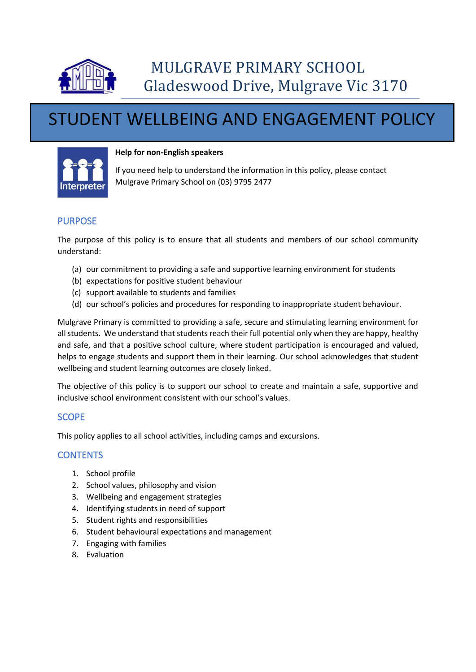

# STUDENT WELLBEING AND ENGAGEMENT POLICY



#### **Help for non-English speakers**

If you need help to understand the information in this policy, please contact Mulgrave Primary School on (03) 9795 2477

## PURPOSE

The purpose of this policy is to ensure that all students and members of our school community understand:

- (a) our commitment to providing a safe and supportive learning environment for students
- (b) expectations for positive student behaviour
- (c) support available to students and families
- (d) our school's policies and procedures for responding to inappropriate student behaviour.

Mulgrave Primary is committed to providing a safe, secure and stimulating learning environment for all students. We understand that students reach their full potential only when they are happy, healthy and safe, and that a positive school culture, where student participation is encouraged and valued, helps to engage students and support them in their learning. Our school acknowledges that student wellbeing and student learning outcomes are closely linked.

The objective of this policy is to support our school to create and maintain a safe, supportive and inclusive school environment consistent with our school's values.

# SCOPE

This policy applies to all school activities, including camps and excursions.

# **CONTENTS**

- 1. School profile
- 2. School values, philosophy and vision
- 3. Wellbeing and engagement strategies
- 4. Identifying students in need of support
- 5. Student rights and responsibilities
- 6. Student behavioural expectations and management
- 7. Engaging with families
- 8. Evaluation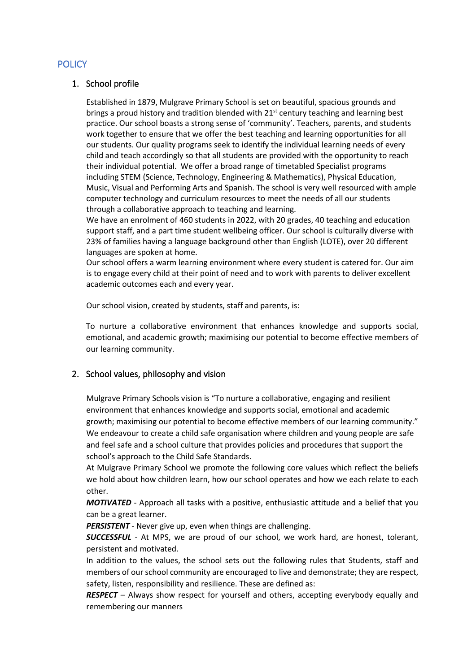## **POLICY**

## 1. School profile

Established in 1879, Mulgrave Primary School is set on beautiful, spacious grounds and brings a proud history and tradition blended with 21<sup>st</sup> century teaching and learning best practice. Our school boasts a strong sense of 'community'. Teachers, parents, and students work together to ensure that we offer the best teaching and learning opportunities for all our students. Our quality programs seek to identify the individual learning needs of every child and teach accordingly so that all students are provided with the opportunity to reach their individual potential. We offer a broad range of timetabled Specialist programs including STEM (Science, Technology, Engineering & Mathematics), Physical Education, Music, Visual and Performing Arts and Spanish. The school is very well resourced with ample computer technology and curriculum resources to meet the needs of all our students through a collaborative approach to teaching and learning.

We have an enrolment of 460 students in 2022, with 20 grades, 40 teaching and education support staff, and a part time student wellbeing officer. Our school is culturally diverse with 23% of families having a language background other than English (LOTE), over 20 different languages are spoken at home.

Our school offers a warm learning environment where every student is catered for. Our aim is to engage every child at their point of need and to work with parents to deliver excellent academic outcomes each and every year.

Our school vision, created by students, staff and parents, is:

To nurture a collaborative environment that enhances knowledge and supports social, emotional, and academic growth; maximising our potential to become effective members of our learning community.

## 2. School values, philosophy and vision

Mulgrave Primary Schools vision is "To nurture a collaborative, engaging and resilient environment that enhances knowledge and supports social, emotional and academic growth; maximising our potential to become effective members of our learning community." We endeavour to create a child safe organisation where children and young people are safe and feel safe and a school culture that provides policies and procedures that support the school's approach to the Child Safe Standards.

At Mulgrave Primary School we promote the following core values which reflect the beliefs we hold about how children learn, how our school operates and how we each relate to each other.

*MOTIVATED* - Approach all tasks with a positive, enthusiastic attitude and a belief that you can be a great learner.

*PERSISTENT* - Never give up, even when things are challenging.

*SUCCESSFUL* - At MPS, we are proud of our school, we work hard, are honest, tolerant, persistent and motivated.

In addition to the values, the school sets out the following rules that Students, staff and members of our school community are encouraged to live and demonstrate; they are respect, safety, listen, responsibility and resilience. These are defined as:

*RESPECT* – Always show respect for yourself and others, accepting everybody equally and remembering our manners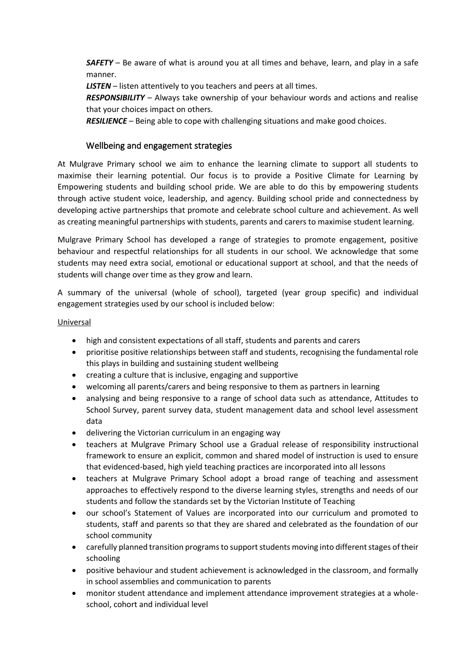*SAFETY* – Be aware of what is around you at all times and behave, learn, and play in a safe manner.

*LISTEN* – listen attentively to you teachers and peers at all times.

*RESPONSIBILITY* – Always take ownership of your behaviour words and actions and realise that your choices impact on others.

*RESILIENCE* – Being able to cope with challenging situations and make good choices.

## Wellbeing and engagement strategies

At Mulgrave Primary school we aim to enhance the learning climate to support all students to maximise their learning potential. Our focus is to provide a Positive Climate for Learning by Empowering students and building school pride. We are able to do this by empowering students through active student voice, leadership, and agency. Building school pride and connectedness by developing active partnerships that promote and celebrate school culture and achievement. As well as creating meaningful partnerships with students, parents and carers to maximise student learning.

Mulgrave Primary School has developed a range of strategies to promote engagement, positive behaviour and respectful relationships for all students in our school. We acknowledge that some students may need extra social, emotional or educational support at school, and that the needs of students will change over time as they grow and learn.

A summary of the universal (whole of school), targeted (year group specific) and individual engagement strategies used by our school is included below:

#### Universal

- high and consistent expectations of all staff, students and parents and carers
- prioritise positive relationships between staff and students, recognising the fundamental role this plays in building and sustaining student wellbeing
- creating a culture that is inclusive, engaging and supportive
- welcoming all parents/carers and being responsive to them as partners in learning
- analysing and being responsive to a range of school data such as attendance, Attitudes to School Survey, parent survey data, student management data and school level assessment data
- delivering the Victorian curriculum in an engaging way
- teachers at Mulgrave Primary School use a Gradual release of responsibility instructional framework to ensure an explicit, common and shared model of instruction is used to ensure that evidenced-based, high yield teaching practices are incorporated into all lessons
- teachers at Mulgrave Primary School adopt a broad range of teaching and assessment approaches to effectively respond to the diverse learning styles, strengths and needs of our students and follow the standards set by the Victorian Institute of Teaching
- our school's Statement of Values are incorporated into our curriculum and promoted to students, staff and parents so that they are shared and celebrated as the foundation of our school community
- carefully planned transition programs to support students moving into different stages of their schooling
- positive behaviour and student achievement is acknowledged in the classroom, and formally in school assemblies and communication to parents
- monitor student attendance and implement attendance improvement strategies at a wholeschool, cohort and individual level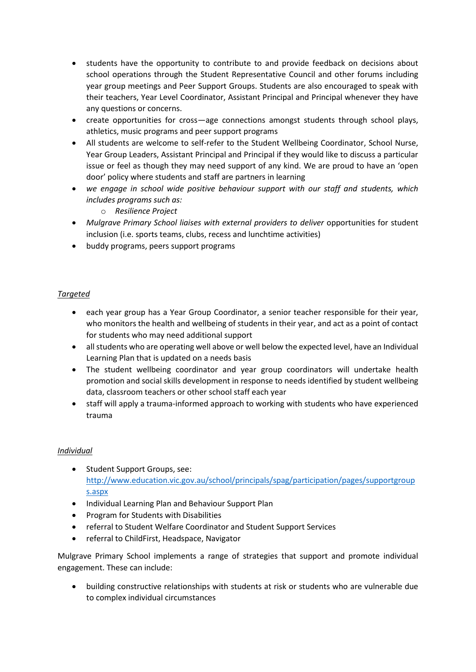- students have the opportunity to contribute to and provide feedback on decisions about school operations through the Student Representative Council and other forums including year group meetings and Peer Support Groups. Students are also encouraged to speak with their teachers, Year Level Coordinator, Assistant Principal and Principal whenever they have any questions or concerns.
- create opportunities for cross—age connections amongst students through school plays, athletics, music programs and peer support programs
- All students are welcome to self-refer to the Student Wellbeing Coordinator, School Nurse, Year Group Leaders, Assistant Principal and Principal if they would like to discuss a particular issue or feel as though they may need support of any kind. We are proud to have an 'open door' policy where students and staff are partners in learning
- *we engage in school wide positive behaviour support with our staff and students, which includes programs such as:*
	- o *Resilience Project*
- Mulgrave Primary School liaises with external providers to deliver opportunities for student inclusion (i.e. sports teams, clubs, recess and lunchtime activities)
- buddy programs, peers support programs

#### *Targeted*

- each year group has a Year Group Coordinator, a senior teacher responsible for their year, who monitors the health and wellbeing of students in their year, and act as a point of contact for students who may need additional support
- all students who are operating well above or well below the expected level, have an Individual Learning Plan that is updated on a needs basis
- The student wellbeing coordinator and year group coordinators will undertake health promotion and social skills development in response to needs identified by student wellbeing data, classroom teachers or other school staff each year
- staff will apply a trauma-informed approach to working with students who have experienced trauma

#### *Individual*

- Student Support Groups, see: [http://www.education.vic.gov.au/school/principals/spag/participation/pages/supportgroup](http://www.education.vic.gov.au/school/principals/spag/participation/pages/supportgroups.aspx) [s.aspx](http://www.education.vic.gov.au/school/principals/spag/participation/pages/supportgroups.aspx)
- Individual Learning Plan and Behaviour Support Plan
- Program for Students with Disabilities
- referral to Student Welfare Coordinator and Student Support Services
- referral to ChildFirst, Headspace, Navigator

Mulgrave Primary School implements a range of strategies that support and promote individual engagement. These can include:

• building constructive relationships with students at risk or students who are vulnerable due to complex individual circumstances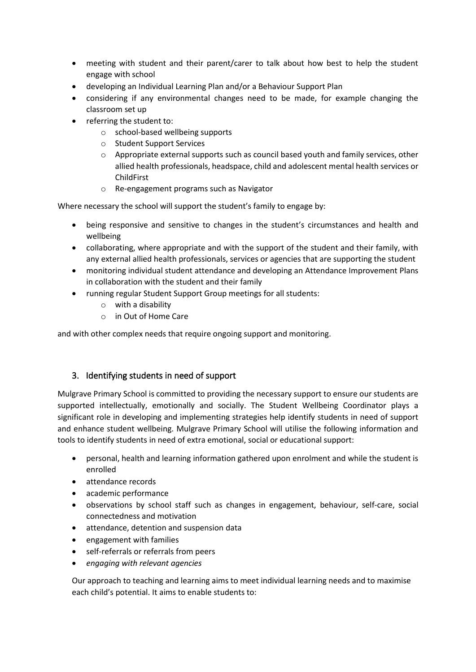- meeting with student and their parent/carer to talk about how best to help the student engage with school
- developing an Individual Learning Plan and/or a Behaviour Support Plan
- considering if any environmental changes need to be made, for example changing the classroom set up
- referring the student to:
	- o school-based wellbeing supports
	- o Student Support Services
	- o Appropriate external supports such as council based youth and family services, other allied health professionals, headspace, child and adolescent mental health services or ChildFirst
	- o Re-engagement programs such as Navigator

Where necessary the school will support the student's family to engage by:

- being responsive and sensitive to changes in the student's circumstances and health and wellbeing
- collaborating, where appropriate and with the support of the student and their family, with any external allied health professionals, services or agencies that are supporting the student
- monitoring individual student attendance and developing an Attendance Improvement Plans in collaboration with the student and their family
- running regular Student Support Group meetings for all students:
	- o with a disability
	- o in Out of Home Care

and with other complex needs that require ongoing support and monitoring.

## 3. Identifying students in need of support

Mulgrave Primary School is committed to providing the necessary support to ensure our students are supported intellectually, emotionally and socially. The Student Wellbeing Coordinator plays a significant role in developing and implementing strategies help identify students in need of support and enhance student wellbeing. Mulgrave Primary School will utilise the following information and tools to identify students in need of extra emotional, social or educational support:

- personal, health and learning information gathered upon enrolment and while the student is enrolled
- attendance records
- academic performance
- observations by school staff such as changes in engagement, behaviour, self-care, social connectedness and motivation
- attendance, detention and suspension data
- engagement with families
- self-referrals or referrals from peers
- *engaging with relevant agencies*

Our approach to teaching and learning aims to meet individual learning needs and to maximise each child's potential. It aims to enable students to: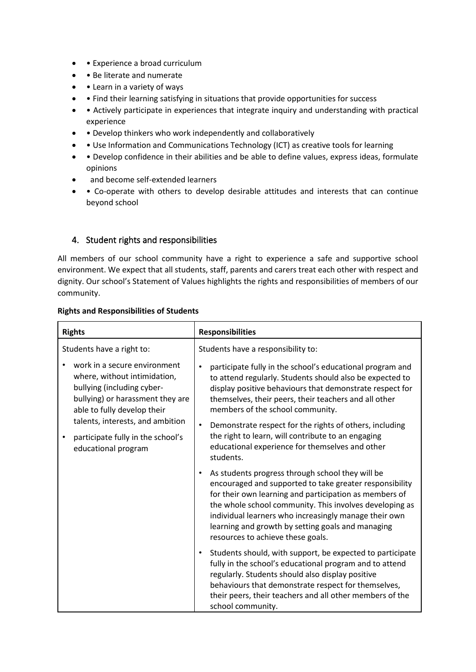- • Experience a broad curriculum
- • Be literate and numerate
- • Learn in a variety of ways
- • Find their learning satisfying in situations that provide opportunities for success
- • Actively participate in experiences that integrate inquiry and understanding with practical experience
- • Develop thinkers who work independently and collaboratively
- Use Information and Communications Technology (ICT) as creative tools for learning
- • Develop confidence in their abilities and be able to define values, express ideas, formulate opinions
- and become self-extended learners
- • Co-operate with others to develop desirable attitudes and interests that can continue beyond school

## 4. Student rights and responsibilities

All members of our school community have a right to experience a safe and supportive school environment. We expect that all students, staff, parents and carers treat each other with respect and dignity. Our school's Statement of Values highlights the rights and responsibilities of members of our community.

#### **Rights and Responsibilities of Students**

| <b>Rights</b>                                                                                                                                                 | <b>Responsibilities</b>                                                                                                                                                                                                                                                                                                                                                                                      |
|---------------------------------------------------------------------------------------------------------------------------------------------------------------|--------------------------------------------------------------------------------------------------------------------------------------------------------------------------------------------------------------------------------------------------------------------------------------------------------------------------------------------------------------------------------------------------------------|
| Students have a right to:                                                                                                                                     | Students have a responsibility to:                                                                                                                                                                                                                                                                                                                                                                           |
| work in a secure environment<br>where, without intimidation,<br>bullying (including cyber-<br>bullying) or harassment they are<br>able to fully develop their | participate fully in the school's educational program and<br>to attend regularly. Students should also be expected to<br>display positive behaviours that demonstrate respect for<br>themselves, their peers, their teachers and all other<br>members of the school community.<br>Demonstrate respect for the rights of others, including<br>$\bullet$<br>the right to learn, will contribute to an engaging |
| talents, interests, and ambition<br>participate fully in the school's                                                                                         |                                                                                                                                                                                                                                                                                                                                                                                                              |
| educational program                                                                                                                                           | educational experience for themselves and other<br>students.                                                                                                                                                                                                                                                                                                                                                 |
|                                                                                                                                                               | As students progress through school they will be<br>encouraged and supported to take greater responsibility<br>for their own learning and participation as members of<br>the whole school community. This involves developing as<br>individual learners who increasingly manage their own<br>learning and growth by setting goals and managing<br>resources to achieve these goals.                          |
|                                                                                                                                                               | Students should, with support, be expected to participate<br>$\bullet$<br>fully in the school's educational program and to attend<br>regularly. Students should also display positive<br>behaviours that demonstrate respect for themselves,<br>their peers, their teachers and all other members of the<br>school community.                                                                                |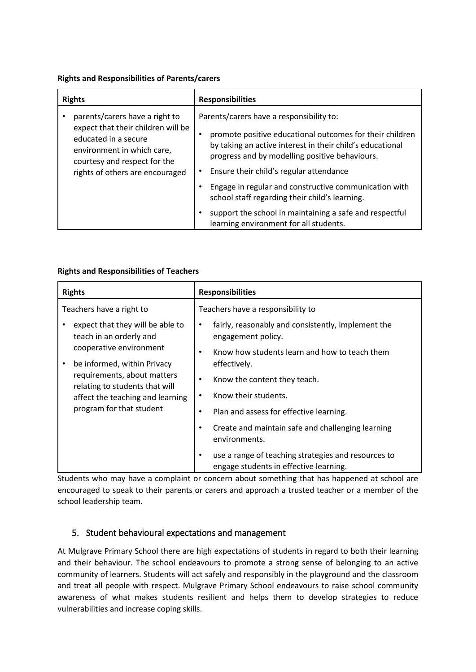#### **Rights and Responsibilities of Parents/carers**

| <b>Rights</b>                                                                                                                                                                                 | <b>Responsibilities</b>                                                                                                                                                                                                                                                                                                                                                                                                                                                             |
|-----------------------------------------------------------------------------------------------------------------------------------------------------------------------------------------------|-------------------------------------------------------------------------------------------------------------------------------------------------------------------------------------------------------------------------------------------------------------------------------------------------------------------------------------------------------------------------------------------------------------------------------------------------------------------------------------|
| parents/carers have a right to<br>expect that their children will be<br>educated in a secure<br>environment in which care,<br>courtesy and respect for the<br>rights of others are encouraged | Parents/carers have a responsibility to:<br>promote positive educational outcomes for their children<br>by taking an active interest in their child's educational<br>progress and by modelling positive behaviours.<br>Ensure their child's regular attendance<br>Engage in regular and constructive communication with<br>٠<br>school staff regarding their child's learning.<br>support the school in maintaining a safe and respectful<br>learning environment for all students. |

#### **Rights and Responsibilities of Teachers**

| <b>Rights</b>                                                                                                                                                                                                                                               | <b>Responsibilities</b>                                                                            |
|-------------------------------------------------------------------------------------------------------------------------------------------------------------------------------------------------------------------------------------------------------------|----------------------------------------------------------------------------------------------------|
| Teachers have a right to                                                                                                                                                                                                                                    | Teachers have a responsibility to                                                                  |
| expect that they will be able to<br>teach in an orderly and<br>cooperative environment<br>be informed, within Privacy<br>٠<br>requirements, about matters<br>relating to students that will<br>affect the teaching and learning<br>program for that student | fairly, reasonably and consistently, implement the<br>engagement policy.                           |
|                                                                                                                                                                                                                                                             | Know how students learn and how to teach them<br>٠<br>effectively.                                 |
|                                                                                                                                                                                                                                                             | Know the content they teach.<br>٠                                                                  |
|                                                                                                                                                                                                                                                             | Know their students.                                                                               |
|                                                                                                                                                                                                                                                             | Plan and assess for effective learning.<br>٠                                                       |
|                                                                                                                                                                                                                                                             | Create and maintain safe and challenging learning<br>environments.                                 |
|                                                                                                                                                                                                                                                             | use a range of teaching strategies and resources to<br>٠<br>engage students in effective learning. |

Students who may have a complaint or concern about something that has happened at school are encouraged to speak to their parents or carers and approach a trusted teacher or a member of the school leadership team.

## 5. Student behavioural expectations and management

At Mulgrave Primary School there are high expectations of students in regard to both their learning and their behaviour. The school endeavours to promote a strong sense of belonging to an active community of learners. Students will act safely and responsibly in the playground and the classroom and treat all people with respect. Mulgrave Primary School endeavours to raise school community awareness of what makes students resilient and helps them to develop strategies to reduce vulnerabilities and increase coping skills.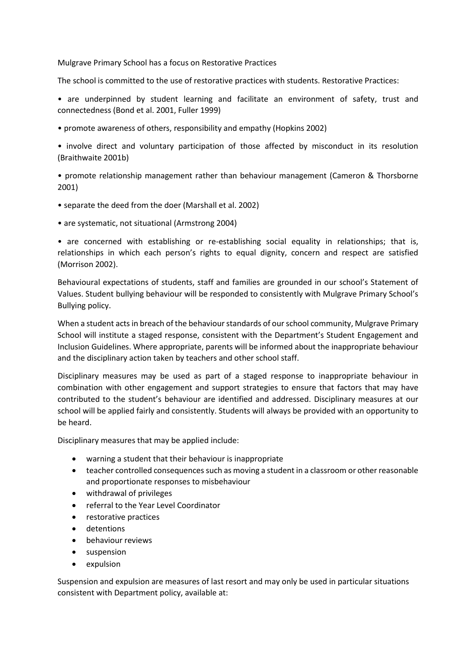Mulgrave Primary School has a focus on Restorative Practices

The school is committed to the use of restorative practices with students. Restorative Practices:

• are underpinned by student learning and facilitate an environment of safety, trust and connectedness (Bond et al. 2001, Fuller 1999)

• promote awareness of others, responsibility and empathy (Hopkins 2002)

• involve direct and voluntary participation of those affected by misconduct in its resolution (Braithwaite 2001b)

• promote relationship management rather than behaviour management (Cameron & Thorsborne 2001)

- separate the deed from the doer (Marshall et al. 2002)
- are systematic, not situational (Armstrong 2004)

• are concerned with establishing or re-establishing social equality in relationships; that is, relationships in which each person's rights to equal dignity, concern and respect are satisfied (Morrison 2002).

Behavioural expectations of students, staff and families are grounded in our school's Statement of Values. Student bullying behaviour will be responded to consistently with Mulgrave Primary School's Bullying policy.

When a student acts in breach of the behaviour standards of our school community, Mulgrave Primary School will institute a staged response, consistent with the Department's Student Engagement and Inclusion Guidelines. Where appropriate, parents will be informed about the inappropriate behaviour and the disciplinary action taken by teachers and other school staff.

Disciplinary measures may be used as part of a staged response to inappropriate behaviour in combination with other engagement and support strategies to ensure that factors that may have contributed to the student's behaviour are identified and addressed. Disciplinary measures at our school will be applied fairly and consistently. Students will always be provided with an opportunity to be heard.

Disciplinary measures that may be applied include:

- warning a student that their behaviour is inappropriate
- teacher controlled consequences such as moving a student in a classroom or other reasonable and proportionate responses to misbehaviour
- withdrawal of privileges
- referral to the Year Level Coordinator
- restorative practices
- detentions
- behaviour reviews
- suspension
- expulsion

Suspension and expulsion are measures of last resort and may only be used in particular situations consistent with Department policy, available at: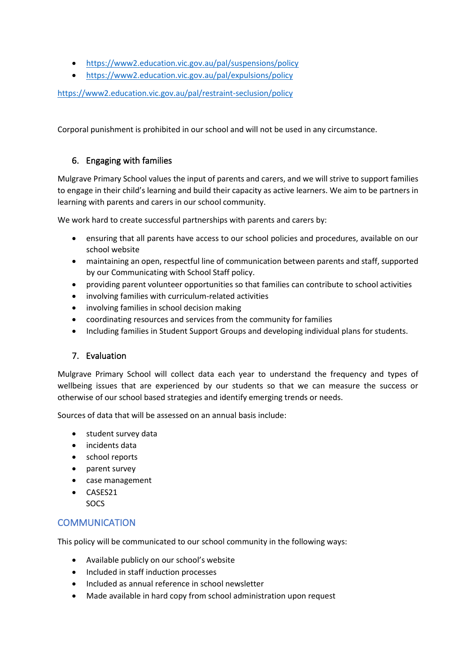- <https://www2.education.vic.gov.au/pal/suspensions/policy>
- <https://www2.education.vic.gov.au/pal/expulsions/policy>

<https://www2.education.vic.gov.au/pal/restraint-seclusion/policy>

Corporal punishment is prohibited in our school and will not be used in any circumstance.

## 6. Engaging with families

Mulgrave Primary School values the input of parents and carers, and we will strive to support families to engage in their child's learning and build their capacity as active learners. We aim to be partners in learning with parents and carers in our school community.

We work hard to create successful partnerships with parents and carers by:

- ensuring that all parents have access to our school policies and procedures, available on our school website
- maintaining an open, respectful line of communication between parents and staff, supported by our Communicating with School Staff policy.
- providing parent volunteer opportunities so that families can contribute to school activities
- involving families with curriculum-related activities
- involving families in school decision making
- coordinating resources and services from the community for families
- Including families in Student Support Groups and developing individual plans for students.

#### 7. Evaluation

Mulgrave Primary School will collect data each year to understand the frequency and types of wellbeing issues that are experienced by our students so that we can measure the success or otherwise of our school based strategies and identify emerging trends or needs.

Sources of data that will be assessed on an annual basis include:

- student survey data
- incidents data
- school reports
- parent survey
- case management
- CASES21 **SOCS**

## COMMUNICATION

This policy will be communicated to our school community in the following ways:

- Available publicly on our school's website
- Included in staff induction processes
- Included as annual reference in school newsletter
- Made available in hard copy from school administration upon request